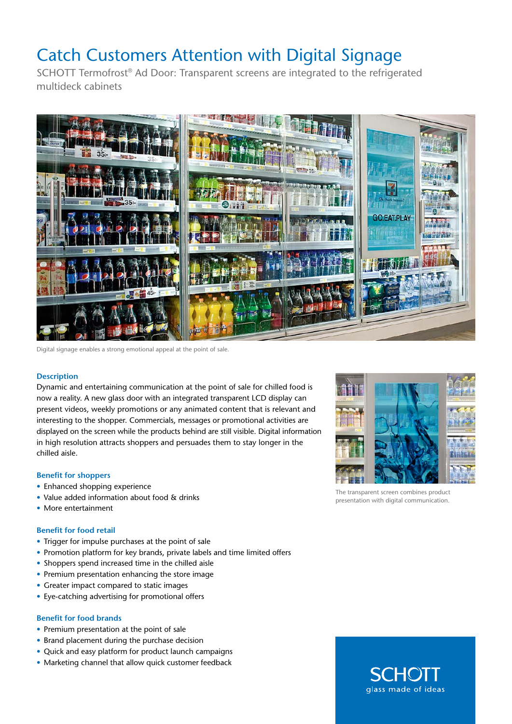## Catch Customers Attention with Digital Signage

SCHOTT Termofrost® Ad Door: Transparent screens are integrated to the refrigerated multideck cabinets



Digital signage enables a strong emotional appeal at the point of sale.

### **Description**

Dynamic and entertaining communication at the point of sale for chilled food is now a reality. A new glass door with an integrated transparent LCD display can present videos, weekly promotions or any animated content that is relevant and interesting to the shopper. Commercials, messages or promotional activities are displayed on the screen while the products behind are still visible. Digital information in high resolution attracts shoppers and persuades them to stay longer in the chilled aisle.

### **Benefit for shoppers**

- Enhanced shopping experience
- Value added information about food & drinks
- More entertainment

### **Benefit for food retail**

- Trigger for impulse purchases at the point of sale
- Promotion platform for key brands, private labels and time limited offers
- Shoppers spend increased time in the chilled aisle
- Premium presentation enhancing the store image
- Greater impact compared to static images
- Eye-catching advertising for promotional offers

### **Benefit for food brands**

- Premium presentation at the point of sale
- Brand placement during the purchase decision
- Quick and easy platform for product launch campaigns
- Marketing channel that allow quick customer feedback



The transparent screen combines product presentation with digital communication.